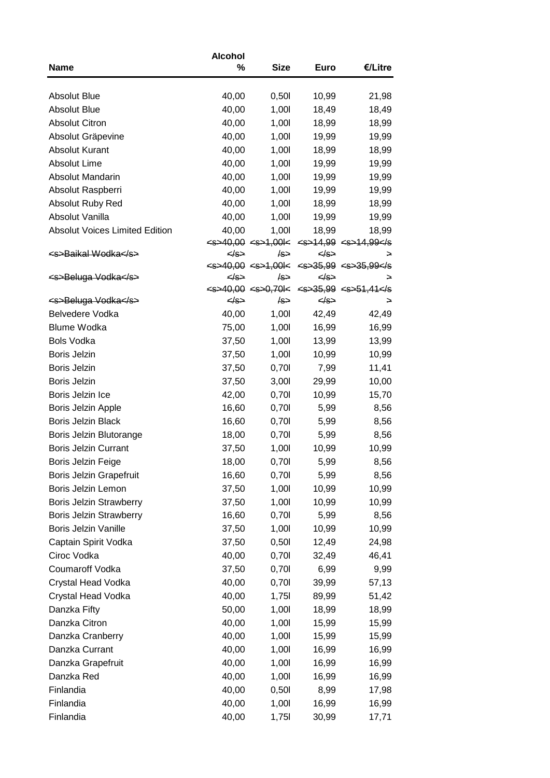|                                        | <b>Alcohol</b> |                                                |                   |                                                                                                                                                                                                                                                                                                                                                                                                                                                                                                  |
|----------------------------------------|----------------|------------------------------------------------|-------------------|--------------------------------------------------------------------------------------------------------------------------------------------------------------------------------------------------------------------------------------------------------------------------------------------------------------------------------------------------------------------------------------------------------------------------------------------------------------------------------------------------|
| <b>Name</b>                            | %              | <b>Size</b>                                    | <b>Euro</b>       | €/Litre                                                                                                                                                                                                                                                                                                                                                                                                                                                                                          |
|                                        |                |                                                |                   |                                                                                                                                                                                                                                                                                                                                                                                                                                                                                                  |
| <b>Absolut Blue</b>                    | 40,00          | 0,501                                          | 10,99             | 21,98                                                                                                                                                                                                                                                                                                                                                                                                                                                                                            |
| <b>Absolut Blue</b>                    | 40,00          | 1,00                                           | 18,49             | 18,49                                                                                                                                                                                                                                                                                                                                                                                                                                                                                            |
| <b>Absolut Citron</b>                  | 40,00          | 1,00                                           | 18,99             | 18,99                                                                                                                                                                                                                                                                                                                                                                                                                                                                                            |
| Absolut Gräpevine                      | 40,00          | 1,00                                           | 19,99             | 19,99                                                                                                                                                                                                                                                                                                                                                                                                                                                                                            |
| <b>Absolut Kurant</b>                  | 40,00          | 1,00                                           | 18,99             | 18,99                                                                                                                                                                                                                                                                                                                                                                                                                                                                                            |
| <b>Absolut Lime</b>                    | 40,00          | 1,001                                          | 19,99             | 19,99                                                                                                                                                                                                                                                                                                                                                                                                                                                                                            |
| Absolut Mandarin                       | 40,00          | 1,00                                           | 19,99             | 19,99                                                                                                                                                                                                                                                                                                                                                                                                                                                                                            |
| Absolut Raspberri                      | 40,00          | 1,00                                           | 19,99             | 19,99                                                                                                                                                                                                                                                                                                                                                                                                                                                                                            |
| Absolut Ruby Red                       | 40,00          | 1,00                                           | 18,99             | 18,99                                                                                                                                                                                                                                                                                                                                                                                                                                                                                            |
| Absolut Vanilla                        | 40,00          | 1,00                                           | 19,99             | 19,99                                                                                                                                                                                                                                                                                                                                                                                                                                                                                            |
| <b>Absolut Voices Limited Edition</b>  | 40,00          | 1,00                                           | 18,99             | 18,99                                                                                                                                                                                                                                                                                                                                                                                                                                                                                            |
|                                        |                |                                                |                   | $\leq 5240,00 \leq 1,00$ $\leq$ $\leq 14,99 \leq 14,99$                                                                                                                                                                                                                                                                                                                                                                                                                                          |
| <s>Baikal Wodka</s>                    |                | /s⇒                                            | <td>→</td>        | →                                                                                                                                                                                                                                                                                                                                                                                                                                                                                                |
|                                        |                |                                                |                   | $\leq 5240,00 \leq 1,001 \leq \leq 35,99 \leq 35,99 \leq 5$                                                                                                                                                                                                                                                                                                                                                                                                                                      |
| <s>Beluga Vodka</s>                    |                | /s⇒                                            | $\leftrightarrow$ | →                                                                                                                                                                                                                                                                                                                                                                                                                                                                                                |
|                                        |                | $\leq 5$ > 40,00 $\leq 5$ > 0,70 $\leq$<br>/s→ | $\leftrightarrow$ | $\leftarrow$ $\leftarrow$ $\leftarrow$ $\leftarrow$ $\leftarrow$ $\leftarrow$ $\leftarrow$ $\leftarrow$ $\leftarrow$ $\leftarrow$ $\leftarrow$ $\leftarrow$ $\leftarrow$ $\leftarrow$ $\leftarrow$ $\leftarrow$ $\leftarrow$ $\leftarrow$ $\leftarrow$ $\leftarrow$ $\leftarrow$ $\leftarrow$ $\leftarrow$ $\leftarrow$ $\leftarrow$ $\leftarrow$ $\leftarrow$ $\leftarrow$ $\leftarrow$ $\leftarrow$ $\leftarrow$ $\leftarrow$ $\leftarrow$ $\leftarrow$ $\leftarrow$ $\leftarrow$ $\leftarrow$ |
| <s>Beluga Vodka</s><br>Belvedere Vodka |                | 1,00                                           |                   | →                                                                                                                                                                                                                                                                                                                                                                                                                                                                                                |
| <b>Blume Wodka</b>                     | 40,00          |                                                | 42,49             | 42,49                                                                                                                                                                                                                                                                                                                                                                                                                                                                                            |
|                                        | 75,00          | 1,001                                          | 16,99             | 16,99                                                                                                                                                                                                                                                                                                                                                                                                                                                                                            |
| <b>Bols Vodka</b>                      | 37,50          | 1,00                                           | 13,99             | 13,99                                                                                                                                                                                                                                                                                                                                                                                                                                                                                            |
| <b>Boris Jelzin</b>                    | 37,50          | 1,001                                          | 10,99             | 10,99                                                                                                                                                                                                                                                                                                                                                                                                                                                                                            |
| <b>Boris Jelzin</b>                    | 37,50          | 0,701                                          | 7,99              | 11,41                                                                                                                                                                                                                                                                                                                                                                                                                                                                                            |
| <b>Boris Jelzin</b>                    | 37,50          | 3,001                                          | 29,99             | 10,00                                                                                                                                                                                                                                                                                                                                                                                                                                                                                            |
| Boris Jelzin Ice                       | 42,00          | 0,701                                          | 10,99             | 15,70                                                                                                                                                                                                                                                                                                                                                                                                                                                                                            |
| Boris Jelzin Apple                     | 16,60          | 0,701                                          | 5,99              | 8,56                                                                                                                                                                                                                                                                                                                                                                                                                                                                                             |
| <b>Boris Jelzin Black</b>              | 16,60          | 0,701                                          | 5,99              | 8,56                                                                                                                                                                                                                                                                                                                                                                                                                                                                                             |
| Boris Jelzin Blutorange                | 18,00          | 0,701                                          | 5,99              | 8,56                                                                                                                                                                                                                                                                                                                                                                                                                                                                                             |
| <b>Boris Jelzin Currant</b>            | 37,50          | 1,00                                           | 10,99             | 10,99                                                                                                                                                                                                                                                                                                                                                                                                                                                                                            |
| Boris Jelzin Feige                     | 18,00          | 0,70                                           | 5,99              | 8,56                                                                                                                                                                                                                                                                                                                                                                                                                                                                                             |
| Boris Jelzin Grapefruit                | 16,60          | 0,701                                          | 5,99              | 8,56                                                                                                                                                                                                                                                                                                                                                                                                                                                                                             |
| Boris Jelzin Lemon                     | 37,50          | 1,001                                          | 10,99             | 10,99                                                                                                                                                                                                                                                                                                                                                                                                                                                                                            |
| Boris Jelzin Strawberry                | 37,50          | 1,001                                          | 10,99             | 10,99                                                                                                                                                                                                                                                                                                                                                                                                                                                                                            |
| Boris Jelzin Strawberry                | 16,60          | 0,701                                          | 5,99              | 8,56                                                                                                                                                                                                                                                                                                                                                                                                                                                                                             |
| <b>Boris Jelzin Vanille</b>            | 37,50          | 1,00                                           | 10,99             | 10,99                                                                                                                                                                                                                                                                                                                                                                                                                                                                                            |
| Captain Spirit Vodka                   | 37,50          | 0,501                                          | 12,49             | 24,98                                                                                                                                                                                                                                                                                                                                                                                                                                                                                            |
| Ciroc Vodka                            | 40,00          | 0,701                                          | 32,49             | 46,41                                                                                                                                                                                                                                                                                                                                                                                                                                                                                            |
| Coumaroff Vodka                        | 37,50          | 0,701                                          | 6,99              | 9,99                                                                                                                                                                                                                                                                                                                                                                                                                                                                                             |
| Crystal Head Vodka                     | 40,00          | 0,701                                          | 39,99             | 57,13                                                                                                                                                                                                                                                                                                                                                                                                                                                                                            |
| Crystal Head Vodka                     | 40,00          | 1,75                                           | 89,99             | 51,42                                                                                                                                                                                                                                                                                                                                                                                                                                                                                            |
| Danzka Fifty                           | 50,00          | 1,001                                          | 18,99             | 18,99                                                                                                                                                                                                                                                                                                                                                                                                                                                                                            |
| Danzka Citron                          | 40,00          | 1,001                                          | 15,99             | 15,99                                                                                                                                                                                                                                                                                                                                                                                                                                                                                            |
| Danzka Cranberry                       | 40,00          | 1,00                                           | 15,99             | 15,99                                                                                                                                                                                                                                                                                                                                                                                                                                                                                            |
| Danzka Currant                         | 40,00          | 1,00                                           | 16,99             | 16,99                                                                                                                                                                                                                                                                                                                                                                                                                                                                                            |
| Danzka Grapefruit                      | 40,00          | 1,001                                          | 16,99             | 16,99                                                                                                                                                                                                                                                                                                                                                                                                                                                                                            |
| Danzka Red                             | 40,00          | 1,00                                           | 16,99             | 16,99                                                                                                                                                                                                                                                                                                                                                                                                                                                                                            |
| Finlandia                              | 40,00          | 0,501                                          | 8,99              | 17,98                                                                                                                                                                                                                                                                                                                                                                                                                                                                                            |
| Finlandia                              | 40,00          | 1,001                                          | 16,99             | 16,99                                                                                                                                                                                                                                                                                                                                                                                                                                                                                            |
| Finlandia                              | 40,00          | 1,751                                          | 30,99             | 17,71                                                                                                                                                                                                                                                                                                                                                                                                                                                                                            |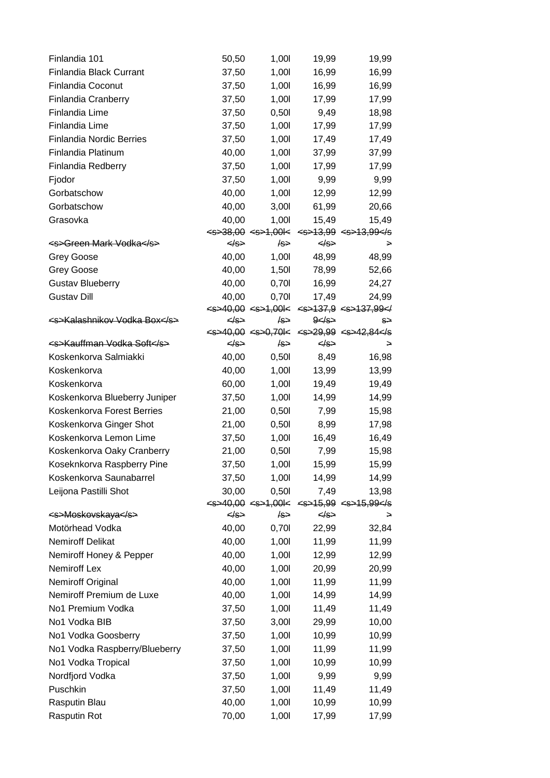| Finlandia 101                      | 50,50             | 1,00       | 19,99             | 19,99                                                                 |
|------------------------------------|-------------------|------------|-------------------|-----------------------------------------------------------------------|
| <b>Finlandia Black Currant</b>     | 37,50             | 1,00       | 16,99             | 16,99                                                                 |
| <b>Finlandia Coconut</b>           | 37,50             | 1,001      | 16,99             | 16,99                                                                 |
| <b>Finlandia Cranberry</b>         | 37,50             | 1,00       | 17,99             | 17,99                                                                 |
| <b>Finlandia Lime</b>              | 37,50             | 0,501      | 9,49              | 18,98                                                                 |
| Finlandia Lime                     | 37,50             | 1,001      | 17,99             | 17,99                                                                 |
| <b>Finlandia Nordic Berries</b>    | 37,50             | 1,00       | 17,49             | 17,49                                                                 |
| Finlandia Platinum                 | 40,00             | 1,00       | 37,99             | 37,99                                                                 |
| Finlandia Redberry                 | 37,50             | 1,001      | 17,99             | 17,99                                                                 |
| Fjodor                             | 37,50             | 1,00       | 9,99              | 9,99                                                                  |
| Gorbatschow                        | 40,00             | 1,001      | 12,99             | 12,99                                                                 |
| Gorbatschow                        | 40,00             | 3,001      | 61,99             | 20,66                                                                 |
| Grasovka                           | 40,00             | 1,001      | 15,49             | 15,49                                                                 |
|                                    |                   |            |                   | $\leq 538,00$ $\leq 51,001$ $\leq$ $\leq 513,99$ $\leq 5513,99$       |
| <del><s>Green Mark Vodka</s></del> | $\leftrightarrow$ | /s⇒        | $\leftrightarrow$ | →                                                                     |
| <b>Grey Goose</b>                  | 40,00             | 1,001      | 48,99             | 48,99                                                                 |
| <b>Grey Goose</b>                  | 40,00             | 1,501      | 78,99             | 52,66                                                                 |
| <b>Gustav Blueberry</b>            | 40,00             | 0,701      | 16,99             | 24,27                                                                 |
| <b>Gustav Dill</b>                 | 40,00             | 0,701      | 17,49             | 24,99                                                                 |
|                                    |                   |            |                   | $\leq 5240,00 \leq 521,001 \leq \leq 52137,9 \leq 137,99 \leq 1$      |
| <s>Kalashnikov Vodka Box</s>       |                   | ∤s⇒        | $9$ $\leq$ $/$    | s⇒<br>$\leq 5240,00 \leq 520,701 \leq \leq 29,99 \leq 5242,84 \leq 5$ |
| <s>Kauffman Vodka Soft</s>         | «∕s               | $\sqrt{s}$ | $\leq$ S>         |                                                                       |
| Koskenkorva Salmiakki              | 40,00             | 0,501      | 8,49              | 16,98                                                                 |
| Koskenkorva                        | 40,00             | 1,001      | 13,99             | 13,99                                                                 |
| Koskenkorva                        | 60,00             | 1,001      | 19,49             | 19,49                                                                 |
| Koskenkorva Blueberry Juniper      | 37,50             | 1,001      | 14,99             | 14,99                                                                 |
| Koskenkorva Forest Berries         | 21,00             | 0,501      | 7,99              | 15,98                                                                 |
| Koskenkorva Ginger Shot            | 21,00             | 0,501      | 8,99              | 17,98                                                                 |
| Koskenkorva Lemon Lime             | 37,50             | 1,00       | 16,49             | 16,49                                                                 |
| Koskenkorva Oaky Cranberry         | 21,00             | 0,501      | 7,99              | 15,98                                                                 |
| Koseknkorva Raspberry Pine         | 37,50             | 1,001      | 15,99             | 15,99                                                                 |
| Koskenkorva Saunabarrel            | 37,50             | 1,001      | 14,99             | 14,99                                                                 |
| Leijona Pastilli Shot              | 30,00             | 0,501      | 7,49              | 13,98                                                                 |
|                                    |                   |            |                   | $\leq 5240,00 \leq 521,001 \leq \leq 5215,99 \leq 5215,99 \leq 5$     |
| <s>Moskovskaya</s>                 | <del></del>       | ∤s⇒        | $\Leftrightarrow$ | ⇒                                                                     |
| Motörhead Vodka                    | 40,00             | 0,70       | 22,99             | 32,84                                                                 |
| <b>Nemiroff Delikat</b>            | 40,00             | 1,00       | 11,99             | 11,99                                                                 |
| Nemiroff Honey & Pepper            | 40,00             | 1,00       | 12,99             | 12,99                                                                 |
| Nemiroff Lex                       | 40,00             | 1,001      | 20,99             | 20,99                                                                 |
| Nemiroff Original                  | 40,00             | 1,00       | 11,99             | 11,99                                                                 |
| Nemiroff Premium de Luxe           | 40,00             | 1,00       | 14,99             | 14,99                                                                 |
| No1 Premium Vodka                  | 37,50             | 1,001      | 11,49             | 11,49                                                                 |
| No1 Vodka BIB                      | 37,50             | 3,001      | 29,99             | 10,00                                                                 |
| No1 Vodka Goosberry                | 37,50             | 1,001      | 10,99             | 10,99                                                                 |
| No1 Vodka Raspberry/Blueberry      | 37,50             | 1,001      | 11,99             | 11,99                                                                 |
| No1 Vodka Tropical                 | 37,50             | 1,00       | 10,99             | 10,99                                                                 |
| Nordfjord Vodka                    | 37,50             | 1,00       | 9,99              | 9,99                                                                  |
| Puschkin                           | 37,50             | 1,00       | 11,49             | 11,49                                                                 |
| Rasputin Blau                      | 40,00             | 1,001      | 10,99             | 10,99                                                                 |
| Rasputin Rot                       | 70,00             | 1,001      | 17,99             | 17,99                                                                 |